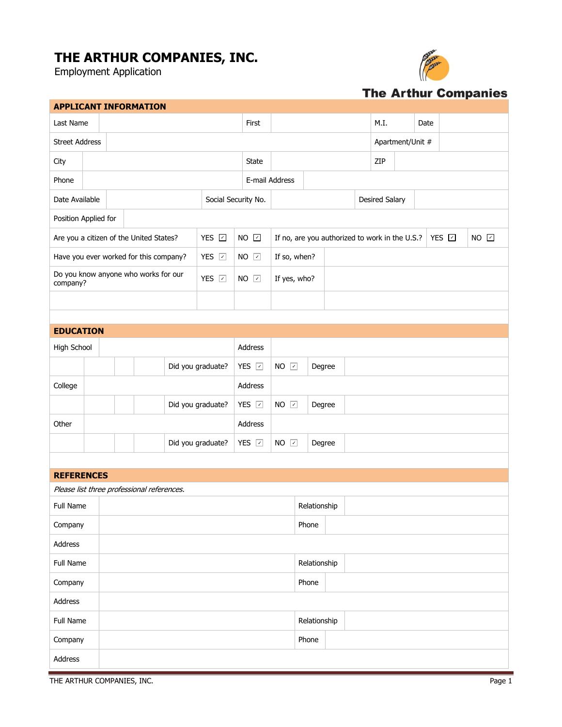## **THE ARTHUR COMPANIES, INC.**

Employment Application



## **The Arthur Companies**

| <b>APPLICANT INFORMATION</b>                                    |                                           |                   |  |                            |  |                                           |             |              |                       |                                                         |                       |      |  |      |          |  |  |  |  |
|-----------------------------------------------------------------|-------------------------------------------|-------------------|--|----------------------------|--|-------------------------------------------|-------------|--------------|-----------------------|---------------------------------------------------------|-----------------------|------|--|------|----------|--|--|--|--|
| Last Name                                                       |                                           |                   |  |                            |  |                                           |             | First        |                       |                                                         |                       | M.I. |  | Date |          |  |  |  |  |
|                                                                 | <b>Street Address</b><br>Apartment/Unit # |                   |  |                            |  |                                           |             |              |                       |                                                         |                       |      |  |      |          |  |  |  |  |
| City                                                            |                                           |                   |  |                            |  |                                           |             | State        |                       |                                                         |                       |      |  | ZIP  |          |  |  |  |  |
| Phone                                                           | E-mail Address                            |                   |  |                            |  |                                           |             |              |                       |                                                         |                       |      |  |      |          |  |  |  |  |
| Date Available<br>Social Security No.                           |                                           |                   |  |                            |  |                                           |             |              |                       |                                                         | <b>Desired Salary</b> |      |  |      |          |  |  |  |  |
| Position Applied for                                            |                                           |                   |  |                            |  |                                           |             |              |                       |                                                         |                       |      |  |      |          |  |  |  |  |
| YES D<br>Are you a citizen of the United States?                |                                           |                   |  |                            |  |                                           |             | $NO$ $Q$     |                       | YES 2<br>If no, are you authorized to work in the U.S.? |                       |      |  |      | $NO$ $D$ |  |  |  |  |
| YES 7<br>Have you ever worked for this company?                 |                                           |                   |  |                            |  |                                           | $NO$ $\Box$ | If so, when? |                       |                                                         |                       |      |  |      |          |  |  |  |  |
| Do you know anyone who works for our<br>YES D<br>company?       |                                           |                   |  |                            |  |                                           | $NO$ $\Box$ | If yes, who? |                       |                                                         |                       |      |  |      |          |  |  |  |  |
|                                                                 |                                           |                   |  |                            |  |                                           |             |              |                       |                                                         |                       |      |  |      |          |  |  |  |  |
|                                                                 |                                           |                   |  |                            |  |                                           |             |              |                       |                                                         |                       |      |  |      |          |  |  |  |  |
| <b>EDUCATION</b>                                                |                                           |                   |  |                            |  |                                           |             |              |                       |                                                         |                       |      |  |      |          |  |  |  |  |
| High School                                                     |                                           | Address           |  |                            |  |                                           |             |              |                       |                                                         |                       |      |  |      |          |  |  |  |  |
|                                                                 |                                           |                   |  |                            |  | YES 2<br>$NO$ $\Box$<br>Did you graduate? |             |              |                       | Degree                                                  |                       |      |  |      |          |  |  |  |  |
| College                                                         |                                           |                   |  |                            |  |                                           |             | Address      |                       |                                                         |                       |      |  |      |          |  |  |  |  |
|                                                                 |                                           | Did you graduate? |  |                            |  |                                           |             | YES D        | $NO$ $\Box$<br>Degree |                                                         |                       |      |  |      |          |  |  |  |  |
| Other                                                           |                                           |                   |  |                            |  |                                           |             | Address      |                       |                                                         |                       |      |  |      |          |  |  |  |  |
|                                                                 |                                           |                   |  | Did you graduate?<br>YES 7 |  |                                           |             | $NO$ $\Box$  | Degree                |                                                         |                       |      |  |      |          |  |  |  |  |
|                                                                 |                                           |                   |  |                            |  |                                           |             |              |                       |                                                         |                       |      |  |      |          |  |  |  |  |
| <b>REFERENCES</b><br>Please list three professional references. |                                           |                   |  |                            |  |                                           |             |              |                       |                                                         |                       |      |  |      |          |  |  |  |  |
| Full Name                                                       |                                           |                   |  |                            |  |                                           |             |              |                       |                                                         | Relationship          |      |  |      |          |  |  |  |  |
| Company                                                         |                                           |                   |  |                            |  |                                           | Phone       |              |                       |                                                         |                       |      |  |      |          |  |  |  |  |
| Address                                                         |                                           |                   |  |                            |  |                                           |             |              |                       |                                                         |                       |      |  |      |          |  |  |  |  |
| Full Name                                                       | Relationship                              |                   |  |                            |  |                                           |             |              |                       |                                                         |                       |      |  |      |          |  |  |  |  |
| Company                                                         |                                           |                   |  |                            |  |                                           |             | Phone        |                       |                                                         |                       |      |  |      |          |  |  |  |  |
| Address                                                         |                                           |                   |  |                            |  |                                           |             |              |                       |                                                         |                       |      |  |      |          |  |  |  |  |
| Full Name                                                       | Relationship                              |                   |  |                            |  |                                           |             |              |                       |                                                         |                       |      |  |      |          |  |  |  |  |
| Company                                                         |                                           |                   |  |                            |  |                                           |             |              | Phone                 |                                                         |                       |      |  |      |          |  |  |  |  |
| Address                                                         |                                           |                   |  |                            |  |                                           |             |              |                       |                                                         |                       |      |  |      |          |  |  |  |  |